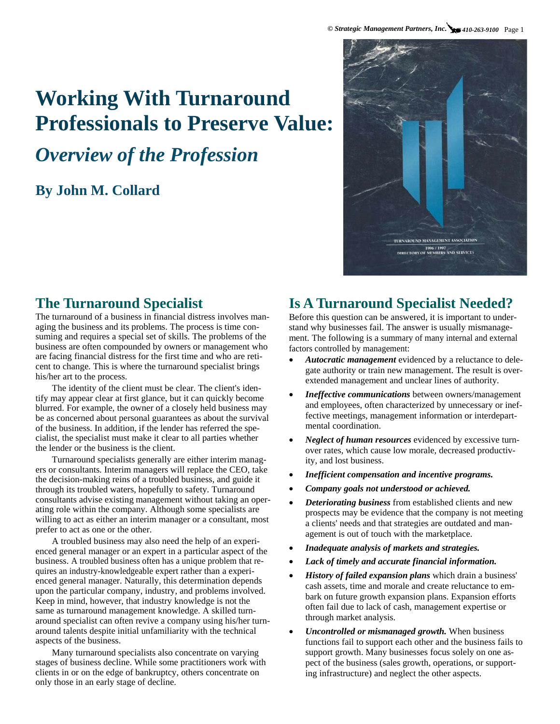# **Working With Turnaround Professionals to Preserve Value:**

# *Overview of the Profession*

# **By John M. Collard**



# **The Turnaround Specialist**

The turnaround of a business in financial distress involves managing the business and its problems. The process is time consuming and requires a special set of skills. The problems of the business are often compounded by owners or management who are facing financial distress for the first time and who are reticent to change. This is where the turnaround specialist brings his/her art to the process.

The identity of the client must be clear. The client's identify may appear clear at first glance, but it can quickly become blurred. For example, the owner of a closely held business may be as concerned about personal guarantees as about the survival of the business. In addition, if the lender has referred the specialist, the specialist must make it clear to all parties whether the lender or the business is the client.

Turnaround specialists generally are either interim managers or consultants. Interim managers will replace the CEO, take the decision-making reins of a troubled business, and guide it through its troubled waters, hopefully to safety. Turnaround consultants advise existing management without taking an operating role within the company. Although some specialists are willing to act as either an interim manager or a consultant, most prefer to act as one or the other.

A troubled business may also need the help of an experienced general manager or an expert in a particular aspect of the business. A troubled business often has a unique problem that requires an industry-knowledgeable expert rather than a experienced general manager. Naturally, this determination depends upon the particular company, industry, and problems involved. Keep in mind, however, that industry knowledge is not the same as turnaround management knowledge. A skilled turnaround specialist can often revive a company using his/her turnaround talents despite initial unfamiliarity with the technical aspects of the business.

Many turnaround specialists also concentrate on varying stages of business decline. While some practitioners work with clients in or on the edge of bankruptcy, others concentrate on only those in an early stage of decline.

# **Is A Turnaround Specialist Needed?**

Before this question can be answered, it is important to understand why businesses fail. The answer is usually mismanagement. The following is a summary of many internal and external factors controlled by management:

- *Autocratic management* evidenced by a reluctance to delegate authority or train new management. The result is overextended management and unclear lines of authority.
- *Ineffective communications* between owners/management and employees, often characterized by unnecessary or ineffective meetings, management information or interdepartmental coordination.
- *Neglect of human resources* evidenced by excessive turnover rates, which cause low morale, decreased productivity, and lost business.
- *Inefficient compensation and incentive programs.*
- *Company goals not understood or achieved.*
- *Deteriorating business* from established clients and new prospects may be evidence that the company is not meeting a clients' needs and that strategies are outdated and management is out of touch with the marketplace.
- *Inadequate analysis of markets and strategies.*
- *Lack of timely and accurate financial information.*
- *History of failed expansion plans* which drain a business' cash assets, time and morale and create reluctance to embark on future growth expansion plans. Expansion efforts often fail due to lack of cash, management expertise or through market analysis.
- *Uncontrolled or mismanaged growth.* When business functions fail to support each other and the business fails to support growth. Many businesses focus solely on one aspect of the business (sales growth, operations, or supporting infrastructure) and neglect the other aspects.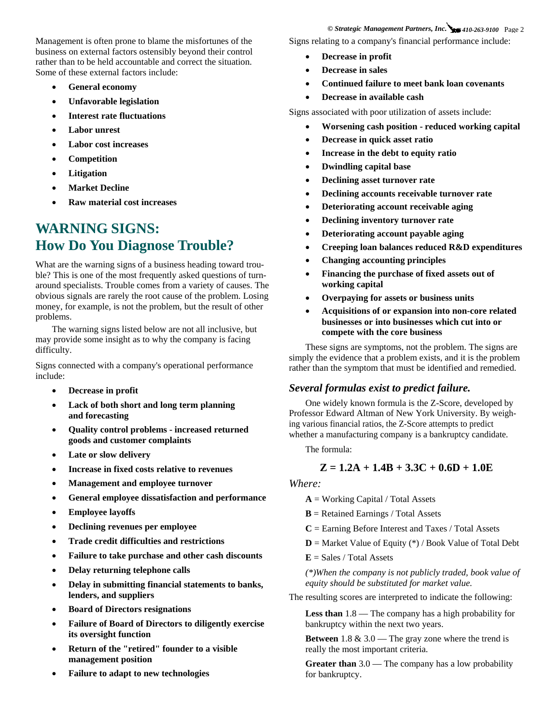Management is often prone to blame the misfortunes of the business on external factors ostensibly beyond their control rather than to be held accountable and correct the situation. Some of these external factors include:

- **General economy**
- **Unfavorable legislation**
- **Interest rate fluctuations**
- **Labor unrest**
- **Labor cost increases**
- **Competition**
- **Litigation**
- **Market Decline**
- **Raw material cost increases**

# **WARNING SIGNS: How Do You Diagnose Trouble?**

What are the warning signs of a business heading toward trouble? This is one of the most frequently asked questions of turnaround specialists. Trouble comes from a variety of causes. The obvious signals are rarely the root cause of the problem. Losing money, for example, is not the problem, but the result of other problems.

The warning signs listed below are not all inclusive, but may provide some insight as to why the company is facing difficulty.

Signs connected with a company's operational performance include:

- **Decrease in profit**
- **Lack of both short and long term planning and forecasting**
- **Quality control problems increased returned goods and customer complaints**
- **Late or slow delivery**
- **Increase in fixed costs relative to revenues**
- **Management and employee turnover**
- **General employee dissatisfaction and performance**
- **Employee layoffs**
- **Declining revenues per employee**
- **Trade credit difficulties and restrictions**
- **Failure to take purchase and other cash discounts**
- **Delay returning telephone calls**
- **Delay in submitting financial statements to banks, lenders, and suppliers**
- **Board of Directors resignations**
- **Failure of Board of Directors to diligently exercise its oversight function**
- **Return of the "retired" founder to a visible management position**
- **Failure to adapt to new technologies**

*© Strategic Management Partners, Inc. 410-263-9100* Page 2 Signs relating to a company's financial performance include:

- **Decrease in profit**
- **Decrease in sales**
- **Continued failure to meet bank loan covenants**
- **Decrease in available cash**

Signs associated with poor utilization of assets include:

- **Worsening cash position reduced working capital**
- **Decrease in quick asset ratio**
- **Increase in the debt to equity ratio**
- **Dwindling capital base**
- **Declining asset turnover rate**
- **Declining accounts receivable turnover rate**
- **Deteriorating account receivable aging**
- **Declining inventory turnover rate**
- **Deteriorating account payable aging**
- **Creeping loan balances reduced R&D expenditures**
- **Changing accounting principles**
- **Financing the purchase of fixed assets out of working capital**
- **Overpaying for assets or business units**
- **Acquisitions of or expansion into non-core related businesses or into businesses which cut into or compete with the core business**

These signs are symptoms, not the problem. The signs are simply the evidence that a problem exists, and it is the problem rather than the symptom that must be identified and remedied.

## *Several formulas exist to predict failure.*

One widely known formula is the Z-Score, developed by Professor Edward Altman of New York University. By weighing various financial ratios, the Z-Score attempts to predict whether a manufacturing company is a bankruptcy candidate.

The formula:

## **Z = 1.2A + 1.4B + 3.3C + 0.6D + 1.0E**

## *Where:*

 $A = Working Capital / Total Assets$ 

**B** = Retained Earnings / Total Assets

**C** = Earning Before Interest and Taxes / Total Assets

- **D** = Market Value of Equity (\*) / Book Value of Total Debt
- $E = Sales / Total Assets$

*(\*)When the company is not publicly traded, book value of equity should be substituted for market value.*

The resulting scores are interpreted to indicate the following:

**Less than** 1.8 — The company has a high probability for bankruptcy within the next two years.

**Between** 1.8 & 3.0 — The gray zone where the trend is really the most important criteria.

**Greater than** 3.0 — The company has a low probability for bankruptcy.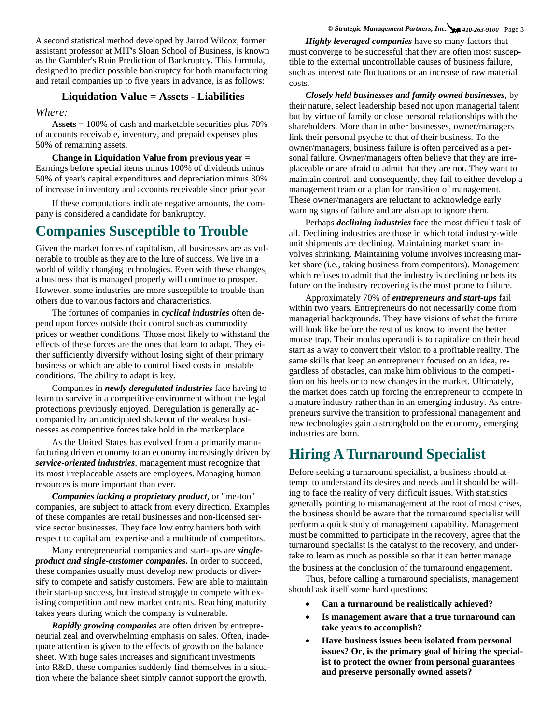### *© Strategic Management Partners, Inc. 410-263-9100* Page 3

A second statistical method developed by Jarrod Wilcox, former assistant professor at MIT's Sloan School of Business, is known as the Gambler's Ruin Prediction of Bankruptcy. This formula, designed to predict possible bankruptcy for both manufacturing and retail companies up to five years in advance, is as follows:

## **Liquidation Value = Assets - Liabilities**

*Where:*

**Assets** = 100% of cash and marketable securities plus 70% of accounts receivable, inventory, and prepaid expenses plus 50% of remaining assets.

**Change in Liquidation Value from previous year** = Earnings before special items minus 100% of dividends minus 50% of year's capital expenditures and depreciation minus 30% of increase in inventory and accounts receivable since prior year.

If these computations indicate negative amounts, the company is considered a candidate for bankruptcy.

# **Companies Susceptible to Trouble**

Given the market forces of capitalism, all businesses are as vulnerable to trouble as they are to the lure of success. We live in a world of wildly changing technologies. Even with these changes, a business that is managed properly will continue to prosper. However, some industries are more susceptible to trouble than others due to various factors and characteristics.

The fortunes of companies in *cyclical industries* often depend upon forces outside their control such as commodity prices or weather conditions. Those most likely to withstand the effects of these forces are the ones that learn to adapt. They either sufficiently diversify without losing sight of their primary business or which are able to control fixed costs in unstable conditions. The ability to adapt is key.

Companies in *newly deregulated industries* face having to learn to survive in a competitive environment without the legal protections previously enjoyed. Deregulation is generally accompanied by an anticipated shakeout of the weakest businesses as competitive forces take hold in the marketplace.

As the United States has evolved from a primarily manufacturing driven economy to an economy increasingly driven by *service-oriented industries,* management must recognize that its most irreplaceable assets are employees. Managing human resources is more important than ever.

*Companies lacking a proprietary product,* or "me-too" companies, are subject to attack from every direction. Examples of these companies are retail businesses and non-licensed service sector businesses. They face low entry barriers both with respect to capital and expertise and a multitude of competitors.

Many entrepreneurial companies and start-ups are *singleproduct and single-customer companies.* In order to succeed, these companies usually must develop new products or diversify to compete and satisfy customers. Few are able to maintain their start-up success, but instead struggle to compete with existing competition and new market entrants. Reaching maturity takes years during which the company is vulnerable.

*Rapidly growing companies* are often driven by entrepreneurial zeal and overwhelming emphasis on sales. Often, inadequate attention is given to the effects of growth on the balance sheet. With huge sales increases and significant investments into R&D, these companies suddenly find themselves in a situation where the balance sheet simply cannot support the growth.

*Highly leveraged companies* have so many factors that must converge to be successful that they are often most susceptible to the external uncontrollable causes of business failure, such as interest rate fluctuations or an increase of raw material costs.

*Closely held businesses and family owned businesses,* by their nature, select leadership based not upon managerial talent but by virtue of family or close personal relationships with the shareholders. More than in other businesses, owner/managers link their personal psyche to that of their business. To the owner/managers, business failure is often perceived as a personal failure. Owner/managers often believe that they are irreplaceable or are afraid to admit that they are not. They want to maintain control, and consequently, they fail to either develop a management team or a plan for transition of management. These owner/managers are reluctant to acknowledge early warning signs of failure and are also apt to ignore them.

Perhaps *declining industries* face the most difficult task of all. Declining industries are those in which total industry-wide unit shipments are declining. Maintaining market share involves shrinking. Maintaining volume involves increasing market share (i.e., taking business from competitors). Management which refuses to admit that the industry is declining or bets its future on the industry recovering is the most prone to failure.

Approximately 70% of *entrepreneurs and start-ups* fail within two years. Entrepreneurs do not necessarily come from managerial backgrounds. They have visions of what the future will look like before the rest of us know to invent the better mouse trap. Their modus operandi is to capitalize on their head start as a way to convert their vision to a profitable reality. The same skills that keep an entrepreneur focused on an idea, regardless of obstacles, can make him oblivious to the competition on his heels or to new changes in the market. Ultimately, the market does catch up forcing the entrepreneur to compete in a mature industry rather than in an emerging industry. As entrepreneurs survive the transition to professional management and new technologies gain a stronghold on the economy, emerging industries are born.

# **Hiring A Turnaround Specialist**

Before seeking a turnaround specialist, a business should attempt to understand its desires and needs and it should be willing to face the reality of very difficult issues. With statistics generally pointing to mismanagement at the root of most crises, the business should be aware that the turnaround specialist will perform a quick study of management capability. Management must be committed to participate in the recovery, agree that the turnaround specialist is the catalyst to the recovery, and undertake to learn as much as possible so that it can better manage

the business at the conclusion of the turnaround engagement. Thus, before calling a turnaround specialists, management

should ask itself some hard questions:

- **Can a turnaround be realistically achieved?**
- Is management aware that a true turnaround can **take years to accomplish?**
- **Have business issues been isolated from personal issues? Or, is the primary goal of hiring the specialist to protect the owner from personal guarantees and preserve personally owned assets?**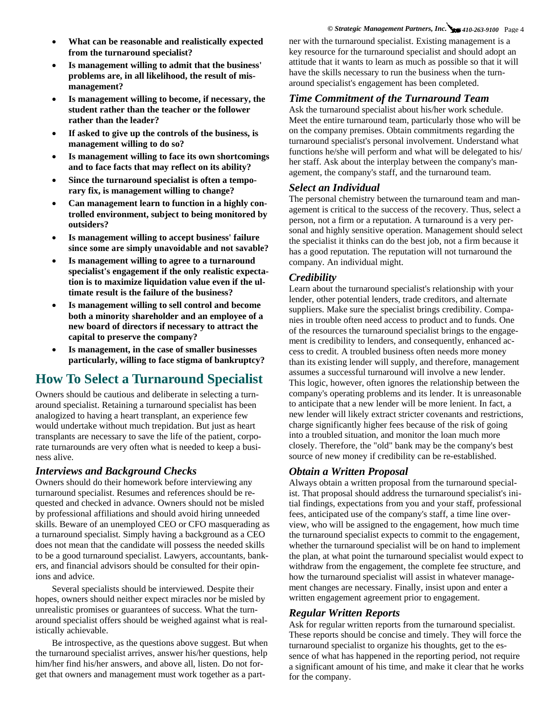### *© Strategic Management Partners, Inc. 410-263-9100* Page 4

- **What can be reasonable and realistically expected from the turnaround specialist?**
- **Is management willing to admit that the business' problems are, in all likelihood, the result of mismanagement?**
- **Is management willing to become, if necessary, the student rather than the teacher or the follower rather than the leader?**
- If asked to give up the controls of the business, is **management willing to do so?**
- **Is management willing to face its own shortcomings and to face facts that may reflect on its ability?**
- **Since the turnaround specialist is often a temporary fix, is management willing to change?**
- **Can management learn to function in a highly controlled environment, subject to being monitored by outsiders?**
- **Is management willing to accept business' failure since some are simply unavoidable and not savable?**
- Is management willing to agree to a turnaround **specialist's engagement if the only realistic expectation is to maximize liquidation value even if the ultimate result is the failure of the business?**
- **Is management willing to sell control and become both a minority shareholder and an employee of a new board of directors if necessary to attract the capital to preserve the company?**
- **Is management, in the case of smaller businesses particularly, willing to face stigma of bankruptcy?**

## **How To Select a Turnaround Specialist**

Owners should be cautious and deliberate in selecting a turnaround specialist. Retaining a turnaround specialist has been analogized to having a heart transplant, an experience few would undertake without much trepidation. But just as heart transplants are necessary to save the life of the patient, corporate turnarounds are very often what is needed to keep a business alive.

**Interviews and Background Checks**<br>Owners should do their homework before interviewing any turnaround specialist. Resumes and references should be requested and checked in advance. Owners should not be misled by professional affiliations and should avoid hiring unneeded skills. Beware of an unemployed CEO or CFO masquerading as a turnaround specialist. Simply having a background as a CEO does not mean that the candidate will possess the needed skills to be a good turnaround specialist. Lawyers, accountants, bankers, and financial advisors should be consulted for their opinions and advice.

Several specialists should be interviewed. Despite their hopes, owners should neither expect miracles nor be misled by unrealistic promises or guarantees of success. What the turnaround specialist offers should be weighed against what is realistically achievable.

Be introspective, as the questions above suggest. But when the turnaround specialist arrives, answer his/her questions, help him/her find his/her answers, and above all, listen. Do not forget that owners and management must work together as a partner with the turnaround specialist. Existing management is a key resource for the turnaround specialist and should adopt an attitude that it wants to learn as much as possible so that it will have the skills necessary to run the business when the turnaround specialist's engagement has been completed.

# *Time Commitment of the Turnaround Team* Ask the turnaround specialist about his/her work schedule.

Meet the entire turnaround team, particularly those who will be on the company premises. Obtain commitments regarding the turnaround specialist's personal involvement. Understand what functions he/she will perform and what will be delegated to his/ her staff. Ask about the interplay between the company's management, the company's staff, and the turnaround team.

**Select an Individual** The personal chemistry between the turnaround team and management is critical to the success of the recovery. Thus, select a person, not a firm or a reputation. A turnaround is a very personal and highly sensitive operation. Management should select the specialist it thinks can do the best job, not a firm because it has a good reputation. The reputation will not turnaround the company. An individual might.

*Credibility*<br>Learn about the turnaround specialist's relationship with your lender, other potential lenders, trade creditors, and alternate suppliers. Make sure the specialist brings credibility. Companies in trouble often need access to product and to funds. One of the resources the turnaround specialist brings to the engagement is credibility to lenders, and consequently, enhanced access to credit. A troubled business often needs more money than its existing lender will supply, and therefore, management assumes a successful turnaround will involve a new lender. This logic, however, often ignores the relationship between the company's operating problems and its lender. It is unreasonable to anticipate that a new lender will be more lenient. In fact, a new lender will likely extract stricter covenants and restrictions, charge significantly higher fees because of the risk of going into a troubled situation, and monitor the loan much more closely. Therefore, the "old" bank may be the company's best source of new money if credibility can be re-established.

*Obtain a Written Proposal*<br>Always obtain a written proposal from the turnaround specialist. That proposal should address the turnaround specialist's initial findings, expectations from you and your staff, professional fees, anticipated use of the company's staff, a time line overview, who will be assigned to the engagement, how much time the turnaround specialist expects to commit to the engagement, whether the turnaround specialist will be on hand to implement the plan, at what point the turnaround specialist would expect to withdraw from the engagement, the complete fee structure, and how the turnaround specialist will assist in whatever management changes are necessary. Finally, insist upon and enter a written engagement agreement prior to engagement.

*Regular Written Reports*<br>Ask for regular written reports from the turnaround specialist. These reports should be concise and timely. They will force the turnaround specialist to organize his thoughts, get to the essence of what has happened in the reporting period, not require a significant amount of his time, and make it clear that he works for the company.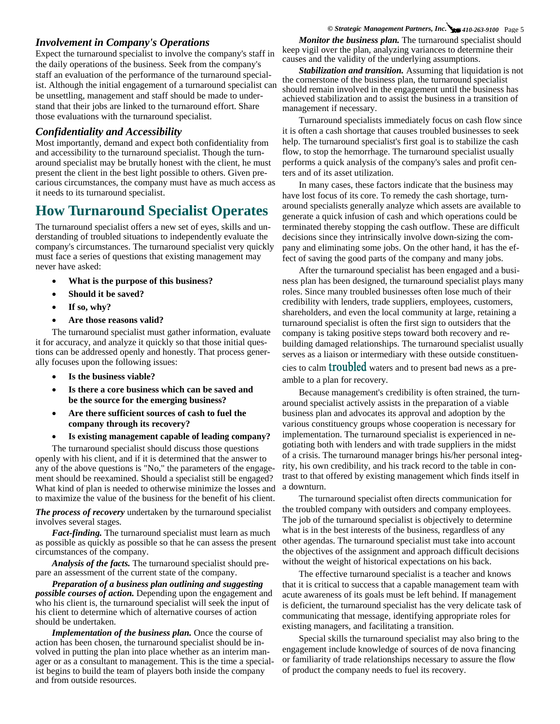*Involvement in Company's Operations*<br>Expect the turnaround specialist to involve the company's staff in the daily operations of the business. Seek from the company's staff an evaluation of the performance of the turnaround specialist. Although the initial engagement of a turnaround specialist can be unsettling, management and staff should be made to understand that their jobs are linked to the turnaround effort. Share those evaluations with the turnaround specialist.

*Confidentiality and Accessibility*<br>Most importantly, demand and expect both confidentiality from and accessibility to the turnaround specialist. Though the turnaround specialist may be brutally honest with the client, he must present the client in the best light possible to others. Given precarious circumstances, the company must have as much access as it needs to its turnaround specialist.

# **How Turnaround Specialist Operates**

The turnaround specialist offers a new set of eyes, skills and understanding of troubled situations to independently evaluate the company's circumstances. The turnaround specialist very quickly must face a series of questions that existing management may never have asked:

- **What is the purpose of this business?**
- **Should it be saved?**
- **If so, why?**
- **Are those reasons valid?**

The turnaround specialist must gather information, evaluate it for accuracy, and analyze it quickly so that those initial questions can be addressed openly and honestly. That process generally focuses upon the following issues:

- **Is the business viable?**
- Is there a core business which can be saved and **be the source for the emerging business?**
- **Are there sufficient sources of cash to fuel the company through its recovery?**
- **Is existing management capable of leading company?**

The turnaround specialist should discuss those questions openly with his client, and if it is determined that the answer to any of the above questions is "No," the parameters of the engagement should be reexamined. Should a specialist still be engaged? What kind of plan is needed to otherwise minimize the losses and to maximize the value of the business for the benefit of his client.

*The process of recovery* undertaken by the turnaround specialist involves several stages.

*Fact-finding.* The turnaround specialist must learn as much as possible as quickly as possible so that he can assess the present circumstances of the company.

*Analysis of the facts.* The turnaround specialist should prepare an assessment of the current state of the company.

*Preparation of a business plan outlining and suggesting possible courses of action.* Depending upon the engagement and who his client is, the turnaround specialist will seek the input of his client to determine which of alternative courses of action should be undertaken.

*Implementation of the business plan.* Once the course of action has been chosen, the turnaround specialist should be involved in putting the plan into place whether as an interim manager or as a consultant to management. This is the time a specialist begins to build the team of players both inside the company and from outside resources.

### *© Strategic Management Partners, Inc. 410-263-9100* Page 5

*Monitor the business plan.* The turnaround specialist should keep vigil over the plan, analyzing variances to determine their causes and the validity of the underlying assumptions.

*Stabilization and transition.* Assuming that liquidation is not the cornerstone of the business plan, the turnaround specialist should remain involved in the engagement until the business has achieved stabilization and to assist the business in a transition of management if necessary.

Turnaround specialists immediately focus on cash flow since it is often a cash shortage that causes troubled businesses to seek help. The turnaround specialist's first goal is to stabilize the cash flow, to stop the hemorrhage. The turnaround specialist usually performs a quick analysis of the company's sales and profit centers and of its asset utilization.

In many cases, these factors indicate that the business may have lost focus of its core. To remedy the cash shortage, turnaround specialists generally analyze which assets are available to generate a quick infusion of cash and which operations could be terminated thereby stopping the cash outflow. These are difficult decisions since they intrinsically involve down-sizing the company and eliminating some jobs. On the other hand, it has the effect of saving the good parts of the company and many jobs.

After the turnaround specialist has been engaged and a business plan has been designed, the turnaround specialist plays many roles. Since many troubled businesses often lose much of their credibility with lenders, trade suppliers, employees, customers, shareholders, and even the local community at large, retaining a turnaround specialist is often the first sign to outsiders that the company is taking positive steps toward both recovery and rebuilding damaged relationships. The turnaround specialist usually serves as a liaison or intermediary with these outside constituencies to calm troubled waters and to present bad news as a preamble to a plan for recovery.

Because management's credibility is often strained, the turnaround specialist actively assists in the preparation of a viable business plan and advocates its approval and adoption by the various constituency groups whose cooperation is necessary for implementation. The turnaround specialist is experienced in negotiating both with lenders and with trade suppliers in the midst of a crisis. The turnaround manager brings his/her personal integrity, his own credibility, and his track record to the table in contrast to that offered by existing management which finds itself in a downturn.

The turnaround specialist often directs communication for the troubled company with outsiders and company employees. The job of the turnaround specialist is objectively to determine what is in the best interests of the business, regardless of any other agendas. The turnaround specialist must take into account the objectives of the assignment and approach difficult decisions without the weight of historical expectations on his back.

The effective turnaround specialist is a teacher and knows that it is critical to success that a capable management team with acute awareness of its goals must be left behind. If management is deficient, the turnaround specialist has the very delicate task of communicating that message, identifying appropriate roles for existing managers, and facilitating a transition.

Special skills the turnaround specialist may also bring to the engagement include knowledge of sources of de nova financing or familiarity of trade relationships necessary to assure the flow of product the company needs to fuel its recovery.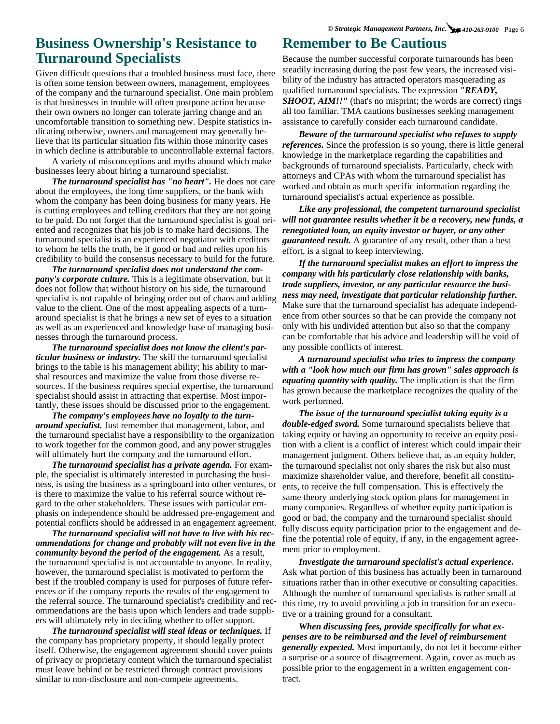## **Business Ownership's Resistance to Turnaround Specialists**

Given difficult questions that a troubled business must face, there is often some tension between owners, management, employees of the company and the turnaround specialist. One main problem is that businesses in trouble will often postpone action because their own owners no longer can tolerate jarring change and an uncomfortable transition to something new. Despite statistics indicating otherwise, owners and management may generally believe that its particular situation fits within those minority cases in which decline is attributable to uncontrollable external factors.

A variety of misconceptions and myths abound which make businesses leery about hiring a turnaround specialist.

*The turnaround specialist has "no heart".* He does not care about the employees, the long time suppliers, or the bank with whom the company has been doing business for many years. He is cutting employees and telling creditors that they are not going to be paid. Do not forget that the turnaround specialist is goal oriented and recognizes that his job is to make hard decisions. The turnaround specialist is an experienced negotiator with creditors to whom he tells the truth, be it good or bad and relies upon his credibility to build the consensus necessary to build for the future.

*The turnaround specialist does not understand the company's corporate culture.* This is a legitimate observation, but it does not follow that without history on his side, the turnaround specialist is not capable of bringing order out of chaos and adding value to the client. One of the most appealing aspects of a turnaround specialist is that he brings a new set of eyes to a situation as well as an experienced and knowledge base of managing businesses through the turnaround process.

*The turnaround specialist does not know the client's particular business or industry.* The skill the turnaround specialist brings to the table is his management ability; his ability to marshal resources and maximize the value from those diverse resources. If the business requires special expertise, the turnaround specialist should assist in attracting that expertise. Most importantly, these issues should be discussed prior to the engagement.

*The company's employees have no loyalty to the turnaround specialist.* Just remember that management, labor, and the turnaround specialist have a responsibility to the organization to work together for the common good, and any power struggles will ultimately hurt the company and the turnaround effort.

*The turnaround specialist has a private agenda.* **For exam**ple, the specialist is ultimately interested in purchasing the business, is using the business as a springboard into other ventures, or is there to maximize the value to his referral source without regard to the other stakeholders. These issues with particular emphasis on independence should be addressed pre-engagement and potential conflicts should be addressed in an engagement agreement.

*The turnaround specialist will not have to live with his recommendations for change and probably will not even live in the community beyond the period of the engagement.* As a result, the turnaround specialist is not accountable to anyone. In reality, however, the turnaround specialist is motivated to perform the best if the troubled company is used for purposes of future references or if the company reports the results of the engagement to the referral source. The turnaround specialist's credibility and recommendations are the basis upon which lenders and trade suppliers will ultimately rely in deciding whether to offer support.

*The turnaround specialist will steal ideas or techniques.* If the company has proprietary property, it should legally protect itself. Otherwise, the engagement agreement should cover points of privacy or proprietary content which the turnaround specialist must leave behind or be restricted through contract provisions similar to non-disclosure and non-compete agreements.

## **Remember to Be Cautious**

Because the number successful corporate turnarounds has been steadily increasing during the past few years, the increased visibility of the industry has attracted operators masquerading as qualified turnaround specialists. The expression *"READY, SHOOT, AIM!!"* (that's no misprint; the words are correct) rings all too familiar. TMA cautions businesses seeking management assistance to carefully consider each turnaround candidate.

*Beware of the turnaround specialist who refuses to supply references.* Since the profession is so young, there is little general knowledge in the marketplace regarding the capabilities and backgrounds of turnaround specialists. Particularly, check with attorneys and CPAs with whom the turnaround specialist has worked and obtain as much specific information regarding the turnaround specialist's actual experience as possible.

*Like any professional, the competent turnaround specialist will not guarantee results whether it be a recovery, new funds, a renegotiated loan, an equity investor or buyer, or any other guaranteed result.* A guarantee of any result, other than a best effort, is a signal to keep interviewing.

*If the turnaround specialist makes an effort to impress the company with his particularly close relationship with banks, trade suppliers, investor, or any particular resource the business may need, investigate that particular relationship further.*  Make sure that the turnaround specialist has adequate independence from other sources so that he can provide the company not only with his undivided attention but also so that the company can be comfortable that his advice and leadership will be void of any possible conflicts of interest.

*A turnaround specialist who tries to impress the company with a "look how much our firm has grown" sales approach is equating quantity with quality.* The implication is that the firm has grown because the marketplace recognizes the quality of the work performed.

*The issue of the turnaround specialist taking equity is a double-edged sword.* Some turnaround specialists believe that taking equity or having an opportunity to receive an equity position with a client is a conflict of interest which could impair their management judgment. Others believe that, as an equity holder, the turnaround specialist not only shares the risk but also must maximize shareholder value, and therefore, benefit all constituents, to receive the full compensation. This is effectively the same theory underlying stock option plans for management in many companies. Regardless of whether equity participation is good or bad, the company and the turnaround specialist should fully discuss equity participation prior to the engagement and define the potential role of equity, if any, in the engagement agreement prior to employment.

*Investigate the turnaround specialist's actual experience.*  Ask what portion of this business has actually been in turnaround situations rather than in other executive or consulting capacities. Although the number of turnaround specialists is rather small at this time, try to avoid providing a job in transition for an executive or a training ground for a consultant.

*When discussing fees, provide specifically for what expenses are to be reimbursed and the level of reimbursement generally expected.* Most importantly, do not let it become either a surprise or a source of disagreement. Again, cover as much as possible prior to the engagement in a written engagement contract.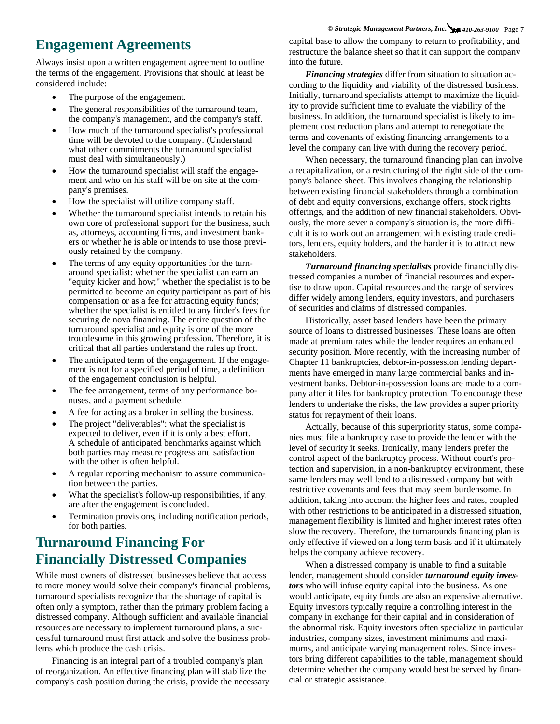# **Engagement Agreements**

Always insist upon a written engagement agreement to outline the terms of the engagement. Provisions that should at least be considered include:

- The purpose of the engagement.
- The general responsibilities of the turnaround team, the company's management, and the company's staff.
- How much of the turnaround specialist's professional time will be devoted to the company. (Understand what other commitments the turnaround specialist must deal with simultaneously.)
- How the turnaround specialist will staff the engagement and who on his staff will be on site at the company's premises.
- How the specialist will utilize company staff.
- Whether the turnaround specialist intends to retain his own core of professional support for the business, such as, attorneys, accounting firms, and investment bankers or whether he is able or intends to use those previously retained by the company.
- The terms of any equity opportunities for the turnaround specialist: whether the specialist can earn an "equity kicker and how;" whether the specialist is to be permitted to become an equity participant as part of his compensation or as a fee for attracting equity funds; whether the specialist is entitled to any finder's fees for securing de nova financing. The entire question of the turnaround specialist and equity is one of the more troublesome in this growing profession. Therefore, it is critical that all parties understand the rules up front.
- The anticipated term of the engagement. If the engagement is not for a specified period of time, a definition of the engagement conclusion is helpful.
- The fee arrangement, terms of any performance bonuses, and a payment schedule.
- A fee for acting as a broker in selling the business.
- The project "deliverables": what the specialist is expected to deliver, even if it is only a best effort. A schedule of anticipated benchmarks against which both parties may measure progress and satisfaction with the other is often helpful.
- A regular reporting mechanism to assure communication between the parties.
- What the specialist's follow-up responsibilities, if any, are after the engagement is concluded.
- Termination provisions, including notification periods, for both parties.

# **Turnaround Financing For Financially Distressed Companies**

While most owners of distressed businesses believe that access to more money would solve their company's financial problems, turnaround specialists recognize that the shortage of capital is often only a symptom, rather than the primary problem facing a distressed company. Although sufficient and available financial resources are necessary to implement turnaround plans, a successful turnaround must first attack and solve the business problems which produce the cash crisis.

Financing is an integral part of a troubled company's plan of reorganization. An effective financing plan will stabilize the company's cash position during the crisis, provide the necessary

*© Strategic Management Partners, Inc. 410-263-9100* Page 7 capital base to allow the company to return to profitability, and restructure the balance sheet so that it can support the company into the future.

*Financing strategies* differ from situation to situation according to the liquidity and viability of the distressed business. Initially, turnaround specialists attempt to maximize the liquidity to provide sufficient time to evaluate the viability of the business. In addition, the turnaround specialist is likely to implement cost reduction plans and attempt to renegotiate the terms and covenants of existing financing arrangements to a level the company can live with during the recovery period.

When necessary, the turnaround financing plan can involve a recapitalization, or a restructuring of the right side of the company's balance sheet. This involves changing the relationship between existing financial stakeholders through a combination of debt and equity conversions, exchange offers, stock rights offerings, and the addition of new financial stakeholders. Obviously, the more sever a company's situation is, the more difficult it is to work out an arrangement with existing trade creditors, lenders, equity holders, and the harder it is to attract new stakeholders.

*Turnaround financing specialists* provide financially distressed companies a number of financial resources and expertise to draw upon. Capital resources and the range of services differ widely among lenders, equity investors, and purchasers of securities and claims of distressed companies.

Historically, asset based lenders have been the primary source of loans to distressed businesses. These loans are often made at premium rates while the lender requires an enhanced security position. More recently, with the increasing number of Chapter 11 bankruptcies, debtor-in-possession lending departments have emerged in many large commercial banks and investment banks. Debtor-in-possession loans are made to a company after it files for bankruptcy protection. To encourage these lenders to undertake the risks, the law provides a super priority status for repayment of their loans.

Actually, because of this superpriority status, some companies must file a bankruptcy case to provide the lender with the level of security it seeks. Ironically, many lenders prefer the control aspect of the bankruptcy process. Without court's protection and supervision, in a non-bankruptcy environment, these same lenders may well lend to a distressed company but with restrictive covenants and fees that may seem burdensome. In addition, taking into account the higher fees and rates, coupled with other restrictions to be anticipated in a distressed situation, management flexibility is limited and higher interest rates often slow the recovery. Therefore, the turnarounds financing plan is only effective if viewed on a long term basis and if it ultimately helps the company achieve recovery.

When a distressed company is unable to find a suitable lender, management should consider *turnaround equity investors* who will infuse equity capital into the business. As one would anticipate, equity funds are also an expensive alternative. Equity investors typically require a controlling interest in the company in exchange for their capital and in consideration of the abnormal risk. Equity investors often specialize in particular industries, company sizes, investment minimums and maximums, and anticipate varying management roles. Since investors bring different capabilities to the table, management should determine whether the company would best be served by financial or strategic assistance.